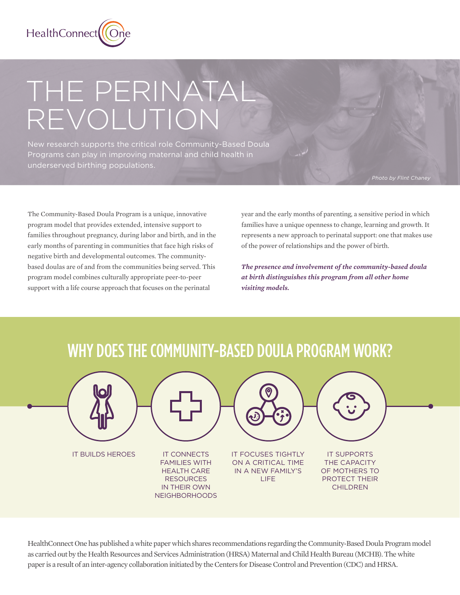

# THE PERINATAL REVOLUTION

New research supports the critical role Community-Based Doula Programs can play in improving maternal and child health in underserved birthing populations.

The Community-Based Doula Program is a unique, innovative program model that provides extended, intensive support to families throughout pregnancy, during labor and birth, and in the early months of parenting in communities that face high risks of negative birth and developmental outcomes. The communitybased doulas are of and from the communities being served. This program model combines culturally appropriate peer-to-peer support with a life course approach that focuses on the perinatal

year and the early months of parenting, a sensitive period in which families have a unique openness to change, learning and growth. It represents a new approach to perinatal support: one that makes use of the power of relationships and the power of birth.

*The presence and involvement of the community-based doula at birth distinguishes this program from all other home visiting models.*

## WHY DOES THE COMMUNITY-BASED DOULA PROGRAM WORK?



HealthConnect One has published a white paper which shares recommendations regarding the Community-Based Doula Program model as carried out by the Health Resources and Services Administration (HRSA) Maternal and Child Health Bureau (MCHB). The white paper is a result of an inter-agency collaboration initiated by the Centers for Disease Control and Prevention (CDC) and HRSA.